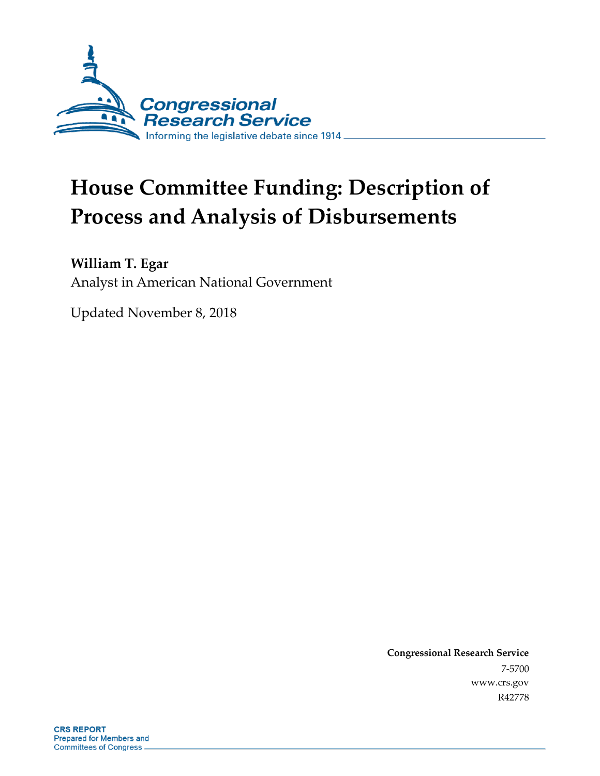

# **House Committee Funding: Description of Process and Analysis of Disbursements**

**William T. Egar**

Analyst in American National Government

Updated November 8, 2018

**Congressional Research Service** 7-5700 www.crs.gov R42778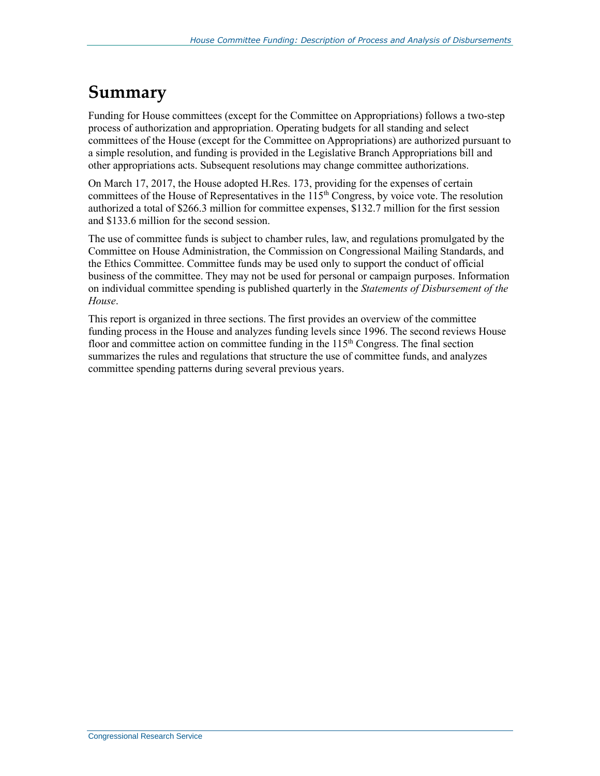### **Summary**

Funding for House committees (except for the Committee on Appropriations) follows a two-step process of authorization and appropriation. Operating budgets for all standing and select committees of the House (except for the Committee on Appropriations) are authorized pursuant to a simple resolution, and funding is provided in the Legislative Branch Appropriations bill and other appropriations acts. Subsequent resolutions may change committee authorizations.

On March 17, 2017, the House adopted H.Res. 173, providing for the expenses of certain committees of the House of Representatives in the  $115<sup>th</sup>$  Congress, by voice vote. The resolution authorized a total of \$266.3 million for committee expenses, \$132.7 million for the first session and \$133.6 million for the second session.

The use of committee funds is subject to chamber rules, law, and regulations promulgated by the Committee on House Administration, the Commission on Congressional Mailing Standards, and the Ethics Committee. Committee funds may be used only to support the conduct of official business of the committee. They may not be used for personal or campaign purposes. Information on individual committee spending is published quarterly in the *Statements of Disbursement of the House*.

This report is organized in three sections. The first provides an overview of the committee funding process in the House and analyzes funding levels since 1996. The second reviews House floor and committee action on committee funding in the  $115<sup>th</sup>$  Congress. The final section summarizes the rules and regulations that structure the use of committee funds, and analyzes committee spending patterns during several previous years.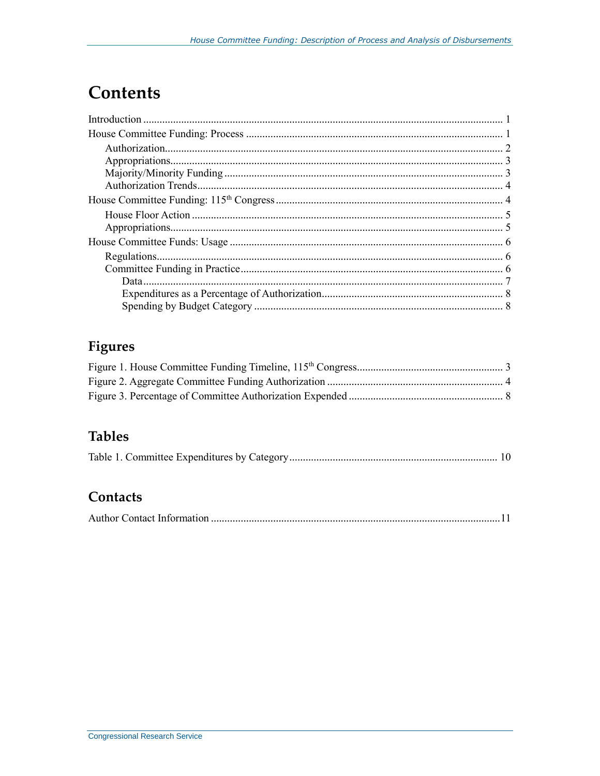## **Contents**

### **Figures**

### **Tables**

|--|--|--|--|--|--|--|

#### Contacts

|--|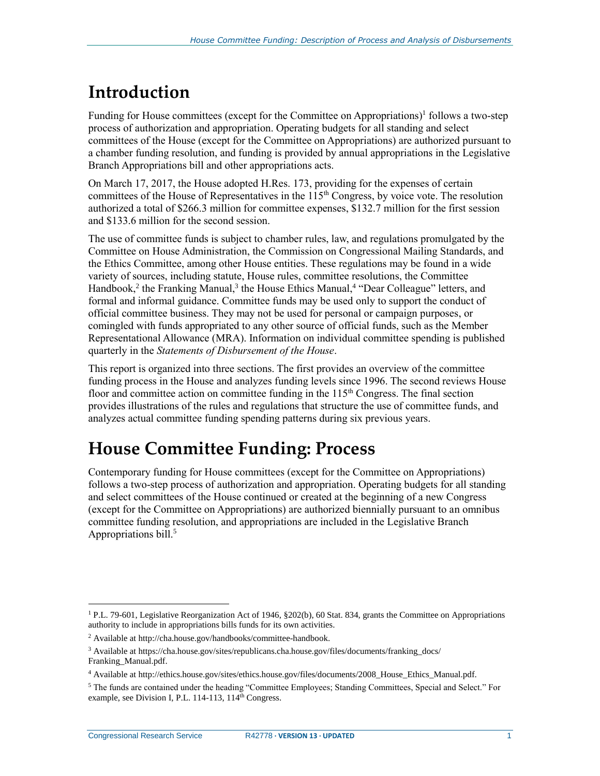## **Introduction**

Funding for House committees (except for the Committee on Appropriations)<sup>1</sup> follows a two-step process of authorization and appropriation. Operating budgets for all standing and select committees of the House (except for the Committee on Appropriations) are authorized pursuant to a chamber funding resolution, and funding is provided by annual appropriations in the Legislative Branch Appropriations bill and other appropriations acts.

On March 17, 2017, the House adopted H.Res. 173, providing for the expenses of certain committees of the House of Representatives in the  $115<sup>th</sup>$  Congress, by voice vote. The resolution authorized a total of \$266.3 million for committee expenses, \$132.7 million for the first session and \$133.6 million for the second session.

The use of committee funds is subject to chamber rules, law, and regulations promulgated by the Committee on House Administration, the Commission on Congressional Mailing Standards, and the Ethics Committee, among other House entities. These regulations may be found in a wide variety of sources, including statute, House rules, committee resolutions, the Committee Handbook,<sup>2</sup> the Franking Manual,<sup>3</sup> the House Ethics Manual,<sup>4</sup> "Dear Colleague" letters, and formal and informal guidance. Committee funds may be used only to support the conduct of official committee business. They may not be used for personal or campaign purposes, or comingled with funds appropriated to any other source of official funds, such as the Member Representational Allowance (MRA). Information on individual committee spending is published quarterly in the *Statements of Disbursement of the House*.

This report is organized into three sections. The first provides an overview of the committee funding process in the House and analyzes funding levels since 1996. The second reviews House floor and committee action on committee funding in the  $115<sup>th</sup>$  Congress. The final section provides illustrations of the rules and regulations that structure the use of committee funds, and analyzes actual committee funding spending patterns during six previous years.

## **House Committee Funding: Process**

Contemporary funding for House committees (except for the Committee on Appropriations) follows a two-step process of authorization and appropriation. Operating budgets for all standing and select committees of the House continued or created at the beginning of a new Congress (except for the Committee on Appropriations) are authorized biennially pursuant to an omnibus committee funding resolution, and appropriations are included in the Legislative Branch Appropriations bill.<sup>5</sup>

<sup>&</sup>lt;sup>1</sup> P.L. 79-601, Legislative Reorganization Act of 1946, §202(b), 60 Stat. 834, grants the Committee on Appropriations authority to include in appropriations bills funds for its own activities.

<sup>2</sup> Available at http://cha.house.gov/handbooks/committee-handbook.

<sup>3</sup> Available at https://cha.house.gov/sites/republicans.cha.house.gov/files/documents/franking\_docs/ Franking\_Manual.pdf.

<sup>4</sup> Available at http://ethics.house.gov/sites/ethics.house.gov/files/documents/2008\_House\_Ethics\_Manual.pdf.

<sup>5</sup> The funds are contained under the heading "Committee Employees; Standing Committees, Special and Select." For example, see Division I, P.L. 114-113, 114<sup>th</sup> Congress.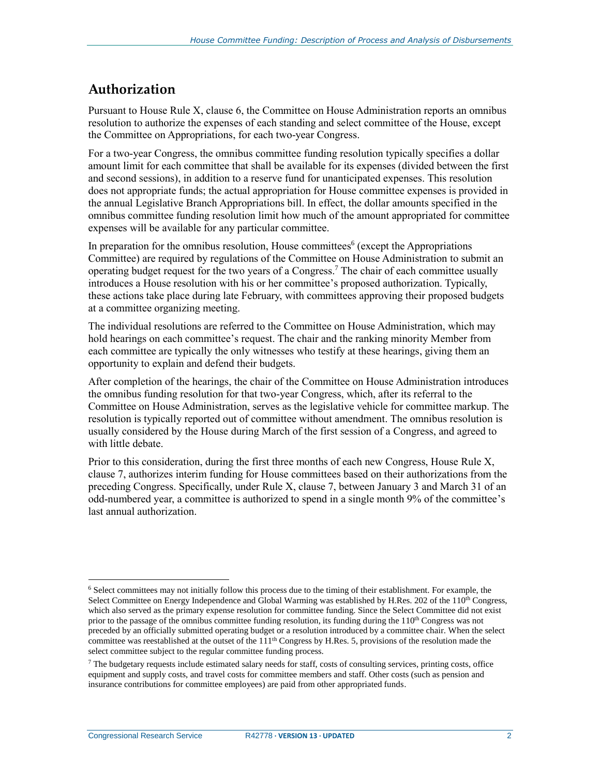#### **Authorization**

Pursuant to House Rule X, clause 6, the Committee on House Administration reports an omnibus resolution to authorize the expenses of each standing and select committee of the House, except the Committee on Appropriations, for each two-year Congress.

For a two-year Congress, the omnibus committee funding resolution typically specifies a dollar amount limit for each committee that shall be available for its expenses (divided between the first and second sessions), in addition to a reserve fund for unanticipated expenses. This resolution does not appropriate funds; the actual appropriation for House committee expenses is provided in the annual Legislative Branch Appropriations bill. In effect, the dollar amounts specified in the omnibus committee funding resolution limit how much of the amount appropriated for committee expenses will be available for any particular committee.

In preparation for the omnibus resolution, House committees<sup>6</sup> (except the Appropriations Committee) are required by regulations of the Committee on House Administration to submit an operating budget request for the two years of a Congress. <sup>7</sup> The chair of each committee usually introduces a House resolution with his or her committee's proposed authorization. Typically, these actions take place during late February, with committees approving their proposed budgets at a committee organizing meeting.

The individual resolutions are referred to the Committee on House Administration, which may hold hearings on each committee's request. The chair and the ranking minority Member from each committee are typically the only witnesses who testify at these hearings, giving them an opportunity to explain and defend their budgets.

After completion of the hearings, the chair of the Committee on House Administration introduces the omnibus funding resolution for that two-year Congress, which, after its referral to the Committee on House Administration, serves as the legislative vehicle for committee markup. The resolution is typically reported out of committee without amendment. The omnibus resolution is usually considered by the House during March of the first session of a Congress, and agreed to with little debate.

Prior to this consideration, during the first three months of each new Congress, House Rule X, clause 7, authorizes interim funding for House committees based on their authorizations from the preceding Congress. Specifically, under Rule X, clause 7, between January 3 and March 31 of an odd-numbered year, a committee is authorized to spend in a single month 9% of the committee's last annual authorization.

 $\overline{a}$  $6$  Select committees may not initially follow this process due to the timing of their establishment. For example, the Select Committee on Energy Independence and Global Warming was established by H.Res. 202 of the 110<sup>th</sup> Congress, which also served as the primary expense resolution for committee funding. Since the Select Committee did not exist prior to the passage of the omnibus committee funding resolution, its funding during the  $110<sup>th</sup>$  Congress was not preceded by an officially submitted operating budget or a resolution introduced by a committee chair. When the select committee was reestablished at the outset of the  $111<sup>th</sup>$  Congress by H.Res. 5, provisions of the resolution made the select committee subject to the regular committee funding process.

 $^7$  The budgetary requests include estimated salary needs for staff, costs of consulting services, printing costs, office equipment and supply costs, and travel costs for committee members and staff. Other costs (such as pension and insurance contributions for committee employees) are paid from other appropriated funds.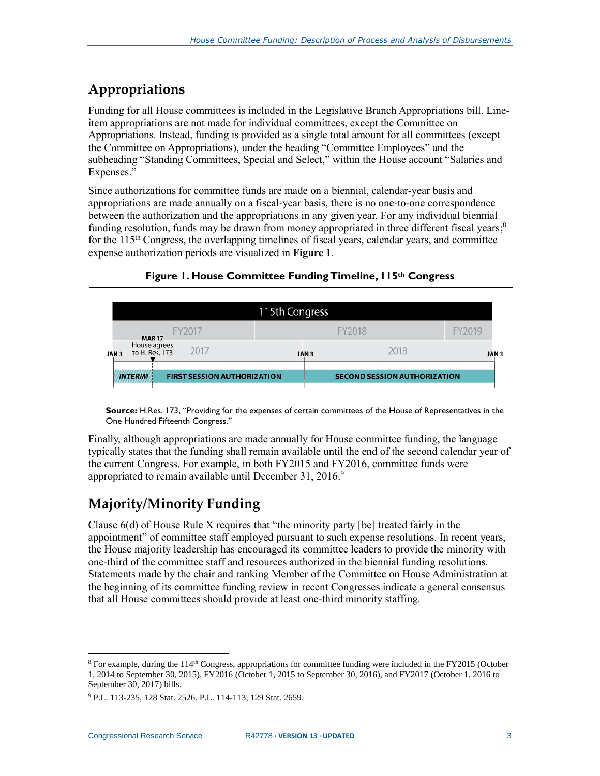### **Appropriations**

Funding for all House committees is included in the Legislative Branch Appropriations bill. Lineitem appropriations are not made for individual committees, except the Committee on Appropriations. Instead, funding is provided as a single total amount for all committees (except the Committee on Appropriations), under the heading "Committee Employees" and the subheading "Standing Committees, Special and Select," within the House account "Salaries and Expenses."

Since authorizations for committee funds are made on a biennial, calendar-year basis and appropriations are made annually on a fiscal-year basis, there is no one-to-one correspondence between the authorization and the appropriations in any given year. For any individual biennial funding resolution, funds may be drawn from money appropriated in three different fiscal years;<sup>8</sup> for the  $115<sup>th</sup>$  Congress, the overlapping timelines of fiscal years, calendar years, and committee expense authorization periods are visualized in **[Figure 1](#page-5-0)**.

<span id="page-5-0"></span>

**Figure 1. House Committee Funding Timeline, 115th Congress**

**Source:** H.Res. 173, "Providing for the expenses of certain committees of the House of Representatives in the One Hundred Fifteenth Congress."

Finally, although appropriations are made annually for House committee funding, the language typically states that the funding shall remain available until the end of the second calendar year of the current Congress. For example, in both FY2015 and FY2016, committee funds were appropriated to remain available until December 31, 2016.<sup>9</sup>

### **Majority/Minority Funding**

Clause 6(d) of House Rule X requires that "the minority party [be] treated fairly in the appointment" of committee staff employed pursuant to such expense resolutions. In recent years, the House majority leadership has encouraged its committee leaders to provide the minority with one-third of the committee staff and resources authorized in the biennial funding resolutions. Statements made by the chair and ranking Member of the Committee on House Administration at the beginning of its committee funding review in recent Congresses indicate a general consensus that all House committees should provide at least one-third minority staffing.

 $8$  For example, during the 114<sup>th</sup> Congress, appropriations for committee funding were included in the FY2015 (October 1, 2014 to September 30, 2015), FY2016 (October 1, 2015 to September 30, 2016), and FY2017 (October 1, 2016 to September 30, 2017) bills.

<sup>9</sup> P.L. 113-235, 128 Stat. 2526. P.L. 114-113, 129 Stat. 2659.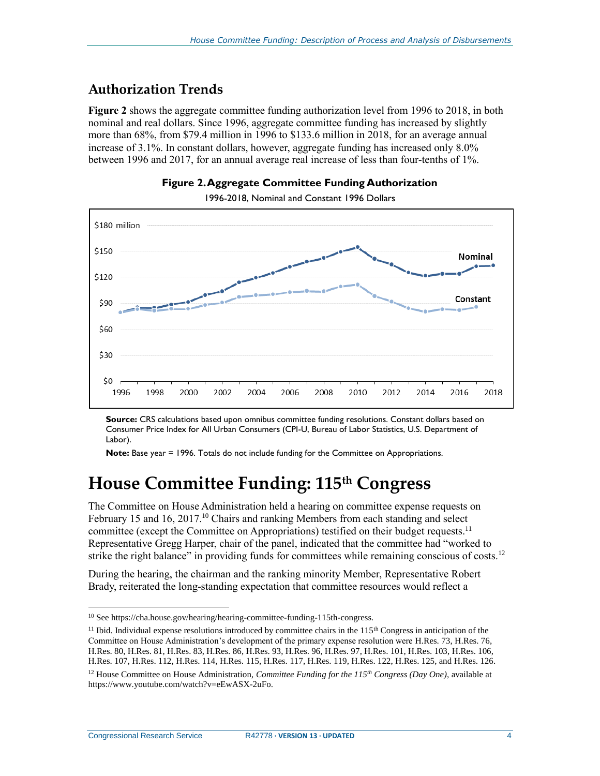#### **Authorization Trends**

**[Figure 2](#page-6-0)** shows the aggregate committee funding authorization level from 1996 to 2018, in both nominal and real dollars. Since 1996, aggregate committee funding has increased by slightly more than 68%, from \$79.4 million in 1996 to \$133.6 million in 2018, for an average annual increase of 3.1%. In constant dollars, however, aggregate funding has increased only 8.0% between 1996 and 2017, for an annual average real increase of less than four-tenths of 1%.

<span id="page-6-0"></span>

**Figure 2.Aggregate Committee Funding Authorization**

1996-2018, Nominal and Constant 1996 Dollars

**Source:** CRS calculations based upon omnibus committee funding resolutions. Constant dollars based on Consumer Price Index for All Urban Consumers (CPI-U, Bureau of Labor Statistics, U.S. Department of Labor).

**Note:** Base year = 1996. Totals do not include funding for the Committee on Appropriations.

## **House Committee Funding: 115th Congress**

The Committee on House Administration held a hearing on committee expense requests on February 15 and 16, 2017.<sup>10</sup> Chairs and ranking Members from each standing and select committee (except the Committee on Appropriations) testified on their budget requests.<sup>11</sup> Representative Gregg Harper, chair of the panel, indicated that the committee had "worked to strike the right balance" in providing funds for committees while remaining conscious of costs.<sup>12</sup>

During the hearing, the chairman and the ranking minority Member, Representative Robert Brady, reiterated the long-standing expectation that committee resources would reflect a

Congressional Research Service R42778 **· VERSION 13 · UPDATED** 4

<sup>10</sup> See https://cha.house.gov/hearing/hearing-committee-funding-115th-congress.

<sup>&</sup>lt;sup>11</sup> Ibid. Individual expense resolutions introduced by committee chairs in the  $115<sup>th</sup>$  Congress in anticipation of the Committee on House Administration's development of the primary expense resolution were H.Res. 73, H.Res. 76, H.Res. 80, H.Res. 81, H.Res. 83, H.Res. 86, H.Res. 93, H.Res. 96, H.Res. 97, H.Res. 101, H.Res. 103, H.Res. 106, H.Res. 107, H.Res. 112, H.Res. 114, H.Res. 115, H.Res. 117, H.Res. 119, H.Res. 122, H.Res. 125, and H.Res. 126.

<sup>12</sup> House Committee on House Administration, *Committee Funding for the 115th Congress (Day One)*, available at https://www.youtube.com/watch?v=eEwASX-2uFo.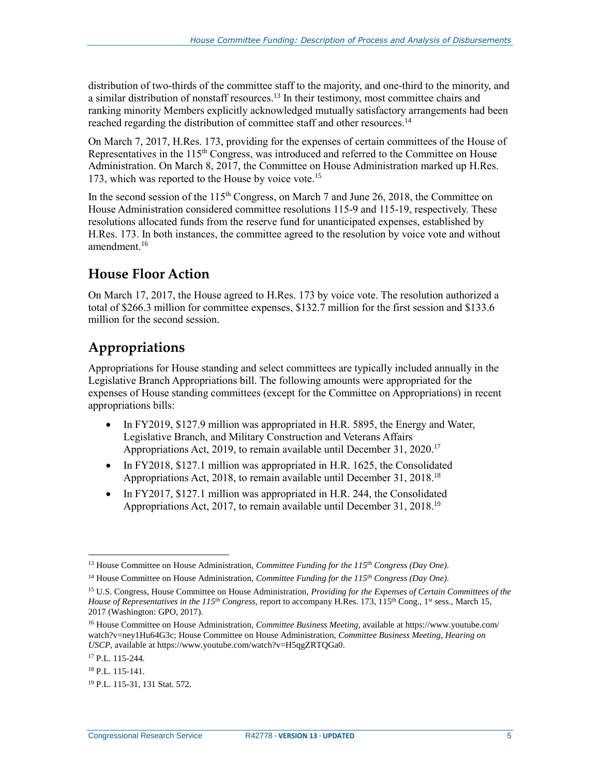distribution of two-thirds of the committee staff to the majority, and one-third to the minority, and a similar distribution of nonstaff resources.<sup>13</sup> In their testimony, most committee chairs and ranking minority Members explicitly acknowledged mutually satisfactory arrangements had been reached regarding the distribution of committee staff and other resources.<sup>14</sup>

On March 7, 2017, H.Res. 173, providing for the expenses of certain committees of the House of Representatives in the 115<sup>th</sup> Congress, was introduced and referred to the Committee on House Administration. On March 8, 2017, the Committee on House Administration marked up H.Res. 173, which was reported to the House by voice vote.<sup>15</sup>

In the second session of the 115<sup>th</sup> Congress, on March 7 and June 26, 2018, the Committee on House Administration considered committee resolutions 115-9 and 115-19, respectively. These resolutions allocated funds from the reserve fund for unanticipated expenses, established by H.Res. 173. In both instances, the committee agreed to the resolution by voice vote and without amendment.<sup>16</sup>

#### **House Floor Action**

On March 17, 2017, the House agreed to H.Res. 173 by voice vote. The resolution authorized a total of \$266.3 million for committee expenses, \$132.7 million for the first session and \$133.6 million for the second session.

### **Appropriations**

Appropriations for House standing and select committees are typically included annually in the Legislative Branch Appropriations bill. The following amounts were appropriated for the expenses of House standing committees (except for the Committee on Appropriations) in recent appropriations bills:

- In FY2019, \$127.9 million was appropriated in H.R. 5895, the Energy and Water, Legislative Branch, and Military Construction and Veterans Affairs Appropriations Act, 2019, to remain available until December 31, 2020.<sup>17</sup>
- In FY2018,  $$127.1$  million was appropriated in H.R. 1625, the Consolidated Appropriations Act, 2018, to remain available until December 31, 2018.<sup>18</sup>
- In FY2017, \$127.1 million was appropriated in H.R. 244, the Consolidated Appropriations Act, 2017, to remain available until December 31, 2018.<sup>19</sup>

Congressional Research Service R42778 **· VERSION 13 · UPDATED** 5

 $\overline{a}$ <sup>13</sup> House Committee on House Administration, *Committee Funding for the 115th Congress (Day One).*

<sup>14</sup> House Committee on House Administration, *Committee Funding for the 115th Congress (Day One).*

<sup>15</sup> U.S. Congress, House Committee on House Administration, *Providing for the Expenses of Certain Committees of the House of Representatives in the 115<sup>th</sup> Congress*, report to accompany H.Res. 173, 115<sup>th</sup> Cong., 1<sup>st</sup> sess., March 15, 2017 (Washington: GPO, 2017).

<sup>16</sup> House Committee on House Administration, *Committee Business Meeting*, available at https://www.youtube.com/ watch?v=ney1Hu64G3c; House Committee on House Administration, *Committee Business Meeting, Hearing on USCP*, available at https://www.youtube.com/watch?v=H5qgZRTQGa0.

<sup>17</sup> P.L. 115-244.

<sup>18</sup> P.L. 115-141.

<sup>19</sup> P.L. 115-31, 131 Stat. 572.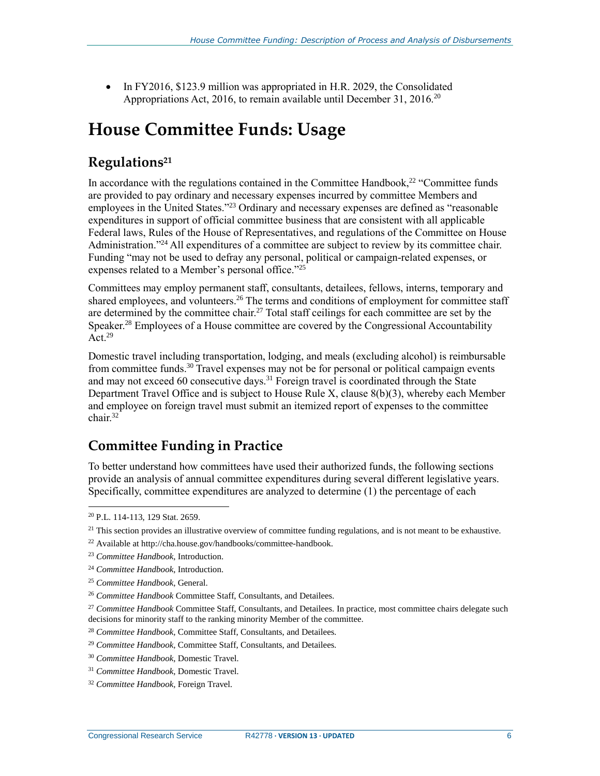• In FY2016, \$123.9 million was appropriated in H.R. 2029, the Consolidated Appropriations Act, 2016, to remain available until December 31, 2016.<sup>20</sup>

## **House Committee Funds: Usage**

#### **Regulations<sup>21</sup>**

In accordance with the regulations contained in the Committee Handbook,<sup>22</sup> "Committee funds are provided to pay ordinary and necessary expenses incurred by committee Members and employees in the United States."<sup>23</sup> Ordinary and necessary expenses are defined as "reasonable expenditures in support of official committee business that are consistent with all applicable Federal laws, Rules of the House of Representatives, and regulations of the Committee on House Administration."<sup>24</sup> All expenditures of a committee are subject to review by its committee chair. Funding "may not be used to defray any personal, political or campaign-related expenses, or expenses related to a Member's personal office."25

Committees may employ permanent staff, consultants, detailees, fellows, interns, temporary and shared employees, and volunteers.<sup>26</sup> The terms and conditions of employment for committee staff are determined by the committee chair.<sup>27</sup> Total staff ceilings for each committee are set by the Speaker.<sup>28</sup> Employees of a House committee are covered by the Congressional Accountability Act. $29$ 

Domestic travel including transportation, lodging, and meals (excluding alcohol) is reimbursable from committee funds.<sup>30</sup> Travel expenses may not be for personal or political campaign events and may not exceed 60 consecutive days.<sup>31</sup> Foreign travel is coordinated through the State Department Travel Office and is subject to House Rule X, clause 8(b)(3), whereby each Member and employee on foreign travel must submit an itemized report of expenses to the committee chair.<sup>32</sup>

### **Committee Funding in Practice**

To better understand how committees have used their authorized funds, the following sections provide an analysis of annual committee expenditures during several different legislative years. Specifically, committee expenditures are analyzed to determine (1) the percentage of each

<sup>20</sup> P.L. 114-113, 129 Stat. 2659.

 $21$  This section provides an illustrative overview of committee funding regulations, and is not meant to be exhaustive.

<sup>22</sup> Available at http://cha.house.gov/handbooks/committee-handbook.

<sup>23</sup> *Committee Handbook*, Introduction.

<sup>24</sup> *Committee Handbook*, Introduction.

<sup>25</sup> *Committee Handbook*, General.

<sup>26</sup> *Committee Handbook* Committee Staff, Consultants, and Detailees*.*

<sup>27</sup> *Committee Handbook* Committee Staff, Consultants, and Detailees*.* In practice, most committee chairs delegate such decisions for minority staff to the ranking minority Member of the committee.

<sup>28</sup> *Committee Handbook,* Committee Staff, Consultants, and Detailees*.*

<sup>29</sup> *Committee Handbook,* Committee Staff, Consultants, and Detailees*.*

<sup>30</sup> *Committee Handbook*, Domestic Travel*.*

<sup>31</sup> *Committee Handbook*, Domestic Travel*.*

<sup>32</sup> *Committee Handbook,* Foreign Travel*.*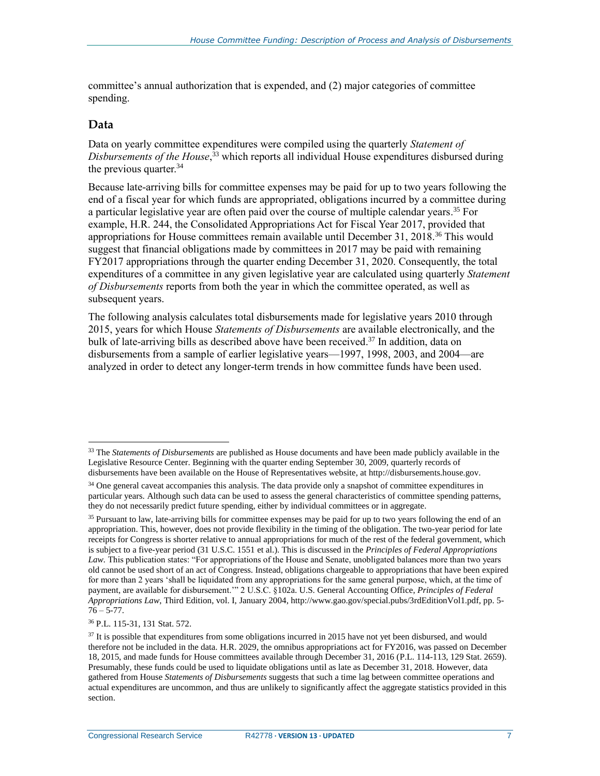committee's annual authorization that is expended, and (2) major categories of committee spending.

#### **Data**

 $\overline{a}$ 

Data on yearly committee expenditures were compiled using the quarterly *Statement of Disbursements of the House*, <sup>33</sup> which reports all individual House expenditures disbursed during the previous quarter.<sup>34</sup>

Because late-arriving bills for committee expenses may be paid for up to two years following the end of a fiscal year for which funds are appropriated, obligations incurred by a committee during a particular legislative year are often paid over the course of multiple calendar years. <sup>35</sup> For example, H.R. 244, the Consolidated Appropriations Act for Fiscal Year 2017, provided that appropriations for House committees remain available until December 31, 2018.<sup>36</sup> This would suggest that financial obligations made by committees in 2017 may be paid with remaining FY2017 appropriations through the quarter ending December 31, 2020. Consequently, the total expenditures of a committee in any given legislative year are calculated using quarterly *Statement of Disbursements* reports from both the year in which the committee operated, as well as subsequent years.

The following analysis calculates total disbursements made for legislative years 2010 through 2015, years for which House *Statements of Disbursements* are available electronically, and the bulk of late-arriving bills as described above have been received. <sup>37</sup> In addition, data on disbursements from a sample of earlier legislative years—1997, 1998, 2003, and 2004—are analyzed in order to detect any longer-term trends in how committee funds have been used.

<sup>33</sup> The *Statements of Disbursements* are published as House documents and have been made publicly available in the Legislative Resource Center. Beginning with the quarter ending September 30, 2009, quarterly records of disbursements have been available on the House of Representatives website, at http://disbursements.house.gov.

<sup>&</sup>lt;sup>34</sup> One general caveat accompanies this analysis. The data provide only a snapshot of committee expenditures in particular years. Although such data can be used to assess the general characteristics of committee spending patterns, they do not necessarily predict future spending, either by individual committees or in aggregate.

<sup>&</sup>lt;sup>35</sup> Pursuant to law, late-arriving bills for committee expenses may be paid for up to two years following the end of an appropriation. This, however, does not provide flexibility in the timing of the obligation. The two-year period for late receipts for Congress is shorter relative to annual appropriations for much of the rest of the federal government, which is subject to a five-year period (31 U.S.C. 1551 et al.). This is discussed in the *Principles of Federal Appropriations Law.* This publication states: "For appropriations of the House and Senate, unobligated balances more than two years old cannot be used short of an act of Congress. Instead, obligations chargeable to appropriations that have been expired for more than 2 years 'shall be liquidated from any appropriations for the same general purpose, which, at the time of payment, are available for disbursement.'" 2 U.S.C. §102a. U.S. General Accounting Office, *Principles of Federal Appropriations Law*, Third Edition, vol. I, January 2004, http://www.gao.gov/special.pubs/3rdEditionVol1.pdf, pp. 5-  $76 - 5 - 77$ .

<sup>36</sup> P.L. 115-31, 131 Stat. 572.

 $37$  It is possible that expenditures from some obligations incurred in 2015 have not yet been disbursed, and would therefore not be included in the data. H.R. 2029, the omnibus appropriations act for FY2016, was passed on December 18, 2015, and made funds for House committees available through December 31, 2016 (P.L. 114-113, 129 Stat. 2659). Presumably, these funds could be used to liquidate obligations until as late as December 31, 2018. However, data gathered from House *Statements of Disbursements* suggests that such a time lag between committee operations and actual expenditures are uncommon, and thus are unlikely to significantly affect the aggregate statistics provided in this section.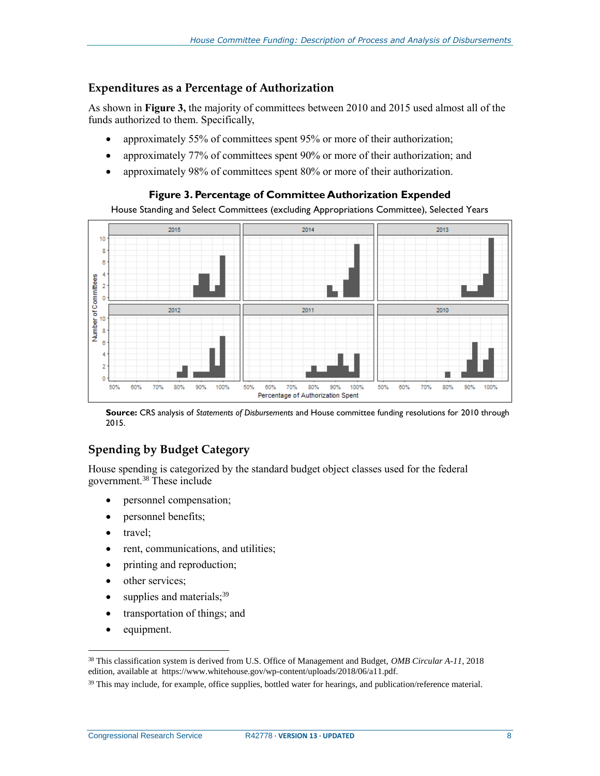#### **Expenditures as a Percentage of Authorization**

As shown in **[Figure 3,](#page-10-0)** the majority of committees between 2010 and 2015 used almost all of the funds authorized to them. Specifically,

- approximately 55% of committees spent 95% or more of their authorization;
- approximately 77% of committees spent 90% or more of their authorization; and
- <span id="page-10-0"></span>• approximately 98% of committees spent 80% or more of their authorization.

#### **Figure 3. Percentage of Committee Authorization Expended**

House Standing and Select Committees (excluding Appropriations Committee), Selected Years



**Source:** CRS analysis of *Statements of Disbursements* and House committee funding resolutions for 2010 through 2015.

#### **Spending by Budget Category**

House spending is categorized by the standard budget object classes used for the federal government.<sup>38</sup> These include

- personnel compensation;
- personnel benefits;
- travel;
- rent, communications, and utilities;
- printing and reproduction;
- other services;
- $\bullet$  supplies and materials;  $39$
- transportation of things; and
- equipment.

<sup>38</sup> This classification system is derived from U.S. Office of Management and Budget, *OMB Circular A-11*, 2018 edition, available at https://www.whitehouse.gov/wp-content/uploads/2018/06/a11.pdf.

<sup>&</sup>lt;sup>39</sup> This may include, for example, office supplies, bottled water for hearings, and publication/reference material.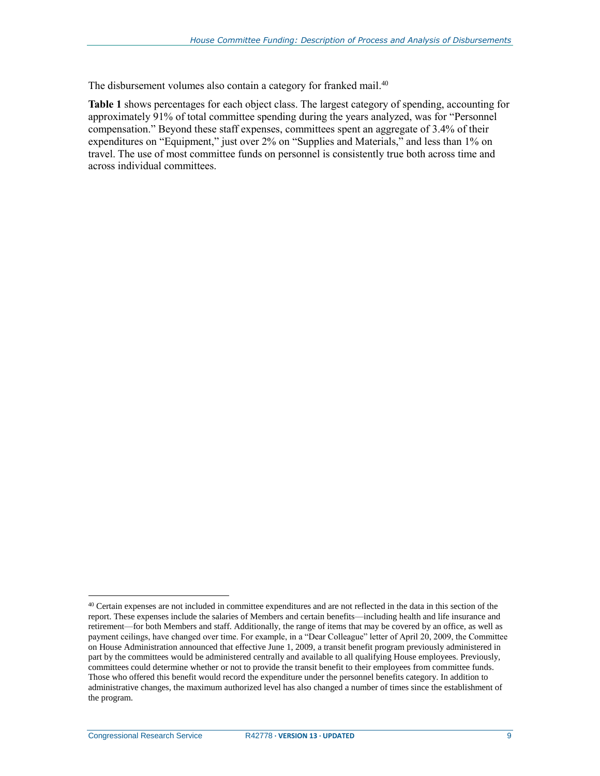The disbursement volumes also contain a category for franked mail.<sup>40</sup>

**[Table 1](#page-12-0)** shows percentages for each object class. The largest category of spending, accounting for approximately 91% of total committee spending during the years analyzed, was for "Personnel compensation." Beyond these staff expenses, committees spent an aggregate of 3.4% of their expenditures on "Equipment," just over 2% on "Supplies and Materials," and less than 1% on travel. The use of most committee funds on personnel is consistently true both across time and across individual committees.

 $40$  Certain expenses are not included in committee expenditures and are not reflected in the data in this section of the report. These expenses include the salaries of Members and certain benefits—including health and life insurance and retirement—for both Members and staff. Additionally, the range of items that may be covered by an office, as well as payment ceilings, have changed over time. For example, in a "Dear Colleague" letter of April 20, 2009, the Committee on House Administration announced that effective June 1, 2009, a transit benefit program previously administered in part by the committees would be administered centrally and available to all qualifying House employees. Previously, committees could determine whether or not to provide the transit benefit to their employees from committee funds. Those who offered this benefit would record the expenditure under the personnel benefits category. In addition to administrative changes, the maximum authorized level has also changed a number of times since the establishment of the program.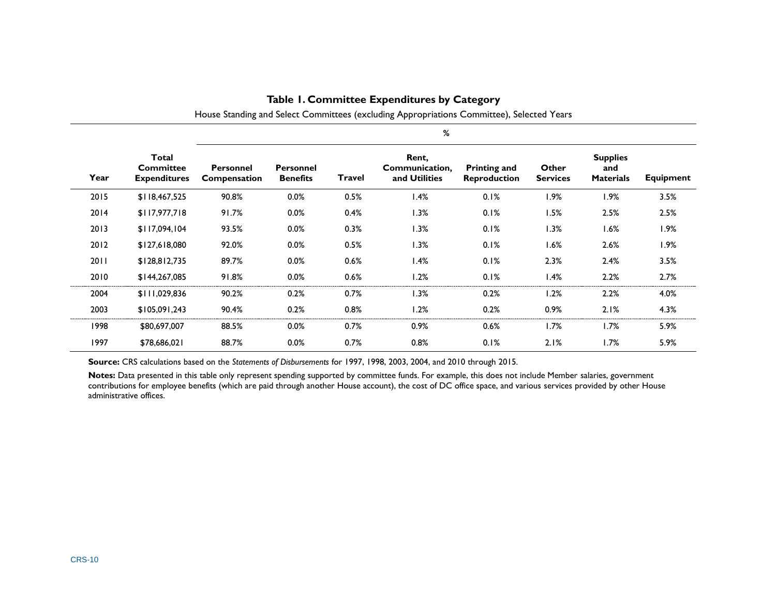|      |                                                  | %                                |                                     |        |                                          |                                            |                          |                                            |                  |
|------|--------------------------------------------------|----------------------------------|-------------------------------------|--------|------------------------------------------|--------------------------------------------|--------------------------|--------------------------------------------|------------------|
| Year | Total<br><b>Committee</b><br><b>Expenditures</b> | <b>Personnel</b><br>Compensation | <b>Personnel</b><br><b>Benefits</b> | Travel | Rent,<br>Communication,<br>and Utilities | <b>Printing and</b><br><b>Reproduction</b> | Other<br><b>Services</b> | <b>Supplies</b><br>and<br><b>Materials</b> | <b>Equipment</b> |
| 2015 | \$118,467,525                                    | 90.8%                            | 0.0%                                | 0.5%   | 1.4%                                     | 0.1%                                       | 1.9%                     | $1.9\%$                                    | 3.5%             |
| 2014 | \$117,977,718                                    | 91.7%                            | 0.0%                                | 0.4%   | 1.3%                                     | 0.1%                                       | 1.5%                     | 2.5%                                       | 2.5%             |
| 2013 | \$117,094,104                                    | 93.5%                            | 0.0%                                | 0.3%   | 1.3%                                     | 0.1%                                       | 1.3%                     | 1.6%                                       | 1.9%             |
| 2012 | \$127,618,080                                    | 92.0%                            | 0.0%                                | 0.5%   | 1.3%                                     | 0.1%                                       | 1.6%                     | 2.6%                                       | 1.9%             |
| 2011 | \$128,812,735                                    | 89.7%                            | 0.0%                                | 0.6%   | 1.4%                                     | 0.1%                                       | 2.3%                     | 2.4%                                       | 3.5%             |
| 2010 | \$144,267,085                                    | 91.8%                            | 0.0%                                | 0.6%   | 1.2%                                     | 0.1%                                       | 1.4%                     | 2.2%                                       | 2.7%             |
| 2004 | \$111,029,836                                    | 90.2%                            | 0.2%                                | 0.7%   | 1.3%                                     | 0.2%                                       | 1.2%                     | 2.2%                                       | 4.0%             |
| 2003 | \$105,091,243                                    | 90.4%                            | 0.2%                                | 0.8%   | 1.2%                                     | 0.2%                                       | 0.9%                     | 2.1%                                       | 4.3%             |
| 1998 | \$80,697,007                                     | 88.5%                            | 0.0%                                | 0.7%   | 0.9%                                     | 0.6%                                       | 1.7%                     | $1.7\%$                                    | 5.9%             |
| 1997 | \$78,686,021                                     | 88.7%                            | 0.0%                                | 0.7%   | 0.8%                                     | 0.1%                                       | 2.1%                     | 1.7%                                       | 5.9%             |

#### **Table 1. Committee Expenditures by Category**

House Standing and Select Committees (excluding Appropriations Committee), Selected Years

<span id="page-12-0"></span>**Source:** CRS calculations based on the *Statements of Disbursements* for 1997, 1998, 2003, 2004, and 2010 through 2015.

**Notes:** Data presented in this table only represent spending supported by committee funds. For example, this does not include Member salaries, government contributions for employee benefits (which are paid through another House account), the cost of DC office space, and various services provided by other House administrative offices.